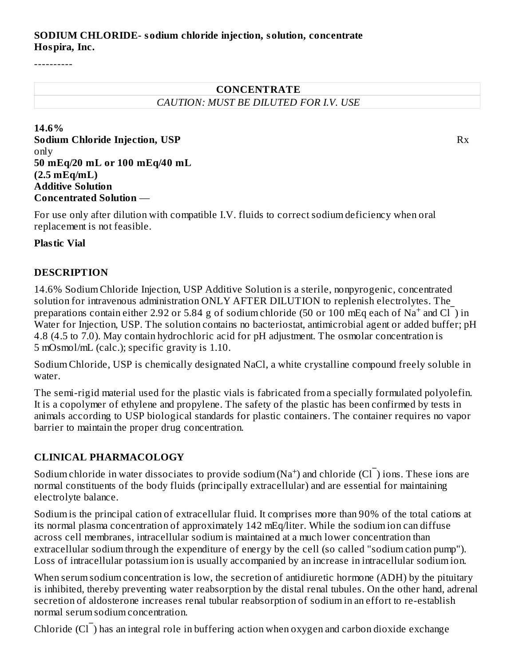#### **SODIUM CHLORIDE- sodium chloride injection, solution, concentrate Hospira, Inc.**

----------

## **CONCENTRATE** *CAUTION: MUST BE DILUTED FOR I.V. USE*

**14.6% Sodium Chloride Injection, USP** Rx only **50 mEq/20 mL or 100 mEq/40 mL (2.5 mEq/mL) Additive Solution Concentrated Solution** —

For use only after dilution with compatible I.V. fluids to correct sodium deficiency when oral replacement is not feasible.

#### **Plastic Vial**

#### **DESCRIPTION**

14.6% Sodium Chloride Injection, USP Additive Solution is a sterile, nonpyrogenic, concentrated solution for intravenous administration ONLY AFTER DILUTION to replenish electrolytes. The preparations contain either 2.92 or 5.84 g of sodium chloride (50 or 100 mEq each of  $\text{Na}^+$  and Cl  $\bar{\text{O}}$ ) in Water for Injection, USP. The solution contains no bacteriostat, antimicrobial agent or added buffer; pH 4.8 (4.5 to 7.0). May contain hydrochloric acid for pH adjustment. The osmolar concentration is 5 mOsmol/mL (calc.); specific gravity is 1.10.

Sodium Chloride, USP is chemically designated NaCl, a white crystalline compound freely soluble in water.

The semi-rigid material used for the plastic vials is fabricated from a specially formulated polyolefin. It is a copolymer of ethylene and propylene. The safety of the plastic has been confirmed by tests in animals according to USP biological standards for plastic containers. The container requires no vapor barrier to maintain the proper drug concentration.

#### **CLINICAL PHARMACOLOGY**

Sodium chloride in water dissociates to provide sodium ( $\text{Na}^+$ ) and chloride ( $\text{Cl}^-$ ) ions. These ions are normal constituents of the body fluids (principally extracellular) and are essential for maintaining electrolyte balance.

Sodium is the principal cation of extracellular fluid. It comprises more than 90% of the total cations at its normal plasma concentration of approximately 142 mEq/liter. While the sodium ion can diffuse across cell membranes, intracellular sodium is maintained at a much lower concentration than extracellular sodium through the expenditure of energy by the cell (so called "sodium cation pump"). Loss of intracellular potassium ion is usually accompanied by an increase in intracellular sodium ion.

When serum sodium concentration is low, the secretion of antidiuretic hormone (ADH) by the pituitary is inhibited, thereby preventing water reabsorption by the distal renal tubules. On the other hand, adrenal secretion of aldosterone increases renal tubular reabsorption of sodium in an effort to re-establish normal serum sodium concentration.

Chloride (Cl<sup>-</sup>) has an integral role in buffering action when oxygen and carbon dioxide exchange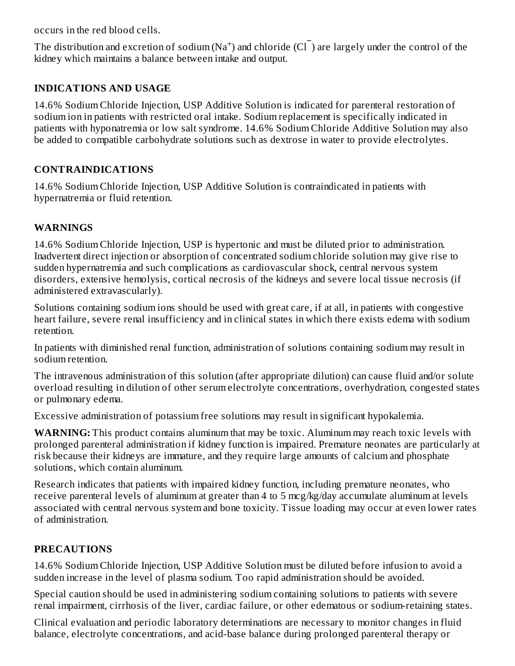occurs in the red blood cells.

The distribution and excretion of sodium (Na<sup>+</sup>) and chloride (Cl $\bar{\ }$ ) are largely under the control of the kidney which maintains a balance between intake and output.

## **INDICATIONS AND USAGE**

14.6% Sodium Chloride Injection, USP Additive Solution is indicated for parenteral restoration of sodium ion in patients with restricted oral intake. Sodium replacement is specifically indicated in patients with hyponatremia or low salt syndrome. 14.6% Sodium Chloride Additive Solution may also be added to compatible carbohydrate solutions such as dextrose in water to provide electrolytes.

## **CONTRAINDICATIONS**

14.6% Sodium Chloride Injection, USP Additive Solution is contraindicated in patients with hypernatremia or fluid retention.

## **WARNINGS**

14.6% Sodium Chloride Injection, USP is hypertonic and must be diluted prior to administration. Inadvertent direct injection or absorption of concentrated sodium chloride solution may give rise to sudden hypernatremia and such complications as cardiovascular shock, central nervous system disorders, extensive hemolysis, cortical necrosis of the kidneys and severe local tissue necrosis (if administered extravascularly).

Solutions containing sodium ions should be used with great care, if at all, in patients with congestive heart failure, severe renal insufficiency and in clinical states in which there exists edema with sodium retention.

In patients with diminished renal function, administration of solutions containing sodium may result in sodium retention.

The intravenous administration of this solution (after appropriate dilution) can cause fluid and/or solute overload resulting in dilution of other serum electrolyte concentrations, overhydration, congested states or pulmonary edema.

Excessive administration of potassium free solutions may result in significant hypokalemia.

**WARNING:** This product contains aluminum that may be toxic. Aluminum may reach toxic levels with prolonged parenteral administration if kidney function is impaired. Premature neonates are particularly at risk because their kidneys are immature, and they require large amounts of calcium and phosphate solutions, which contain aluminum.

Research indicates that patients with impaired kidney function, including premature neonates, who receive parenteral levels of aluminum at greater than 4 to 5 mcg/kg/day accumulate aluminum at levels associated with central nervous system and bone toxicity. Tissue loading may occur at even lower rates of administration.

## **PRECAUTIONS**

14.6% Sodium Chloride Injection, USP Additive Solution must be diluted before infusion to avoid a sudden increase in the level of plasma sodium. Too rapid administration should be avoided.

Special caution should be used in administering sodium containing solutions to patients with severe renal impairment, cirrhosis of the liver, cardiac failure, or other edematous or sodium-retaining states.

Clinical evaluation and periodic laboratory determinations are necessary to monitor changes in fluid balance, electrolyte concentrations, and acid-base balance during prolonged parenteral therapy or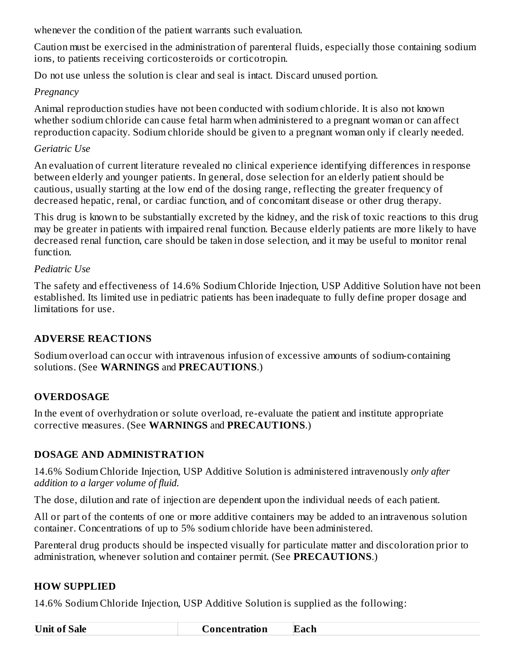whenever the condition of the patient warrants such evaluation.

Caution must be exercised in the administration of parenteral fluids, especially those containing sodium ions, to patients receiving corticosteroids or corticotropin.

Do not use unless the solution is clear and seal is intact. Discard unused portion.

#### *Pregnancy*

Animal reproduction studies have not been conducted with sodium chloride. It is also not known whether sodium chloride can cause fetal harm when administered to a pregnant woman or can affect reproduction capacity. Sodium chloride should be given to a pregnant woman only if clearly needed.

## *Geriatric Use*

An evaluation of current literature revealed no clinical experience identifying differences in response between elderly and younger patients. In general, dose selection for an elderly patient should be cautious, usually starting at the low end of the dosing range, reflecting the greater frequency of decreased hepatic, renal, or cardiac function, and of concomitant disease or other drug therapy.

This drug is known to be substantially excreted by the kidney, and the risk of toxic reactions to this drug may be greater in patients with impaired renal function. Because elderly patients are more likely to have decreased renal function, care should be taken in dose selection, and it may be useful to monitor renal function.

## *Pediatric Use*

The safety and effectiveness of 14.6% Sodium Chloride Injection, USP Additive Solution have not been established. Its limited use in pediatric patients has been inadequate to fully define proper dosage and limitations for use.

## **ADVERSE REACTIONS**

Sodium overload can occur with intravenous infusion of excessive amounts of sodium-containing solutions. (See **WARNINGS** and **PRECAUTIONS**.)

## **OVERDOSAGE**

In the event of overhydration or solute overload, re-evaluate the patient and institute appropriate corrective measures. (See **WARNINGS** and **PRECAUTIONS**.)

## **DOSAGE AND ADMINISTRATION**

14.6% Sodium Chloride Injection, USP Additive Solution is administered intravenously *only after addition to a larger volume of fluid.*

The dose, dilution and rate of injection are dependent upon the individual needs of each patient.

All or part of the contents of one or more additive containers may be added to an intravenous solution container. Concentrations of up to 5% sodium chloride have been administered.

Parenteral drug products should be inspected visually for particulate matter and discoloration prior to administration, whenever solution and container permit. (See **PRECAUTIONS**.)

## **HOW SUPPLIED**

14.6% Sodium Chloride Injection, USP Additive Solution is supplied as the following:

| T<br>Jnif<br>salc | ation<br>Ш<br>---- | ach. |
|-------------------|--------------------|------|
|                   |                    |      |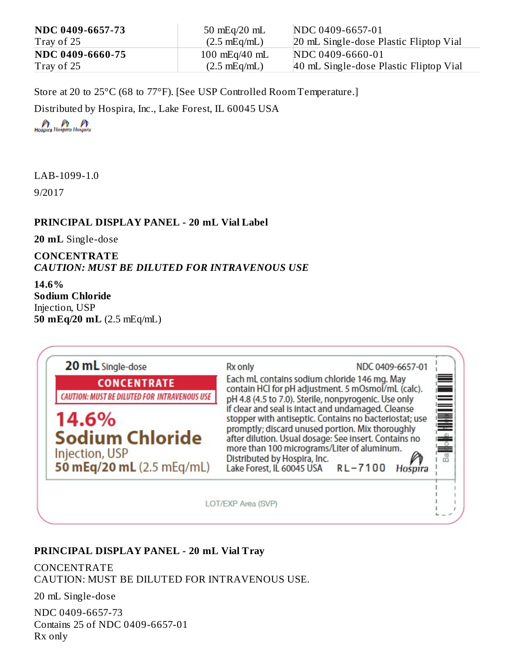| NDC 0409-6657-73 | $50 \text{ mEq}/20 \text{ mL}$  | NDC 0409-6657-01                       |
|------------------|---------------------------------|----------------------------------------|
| Tray of 25       | $(2.5 \text{ mEq/mL})$          | 20 mL Single-dose Plastic Fliptop Vial |
| NDC 0409-6660-75 | $100 \text{ mEq}/40 \text{ mL}$ | NDC 0409-6660-01                       |
| Tray of 25       | $(2.5 \text{ mEq/mL})$          | 40 mL Single-dose Plastic Fliptop Vial |

Store at 20 to 25°C (68 to 77°F). [See USP Controlled Room Temperature.] Distributed by Hospira, Inc., Lake Forest, IL 60045 USA

LAB-1099-1.0

9/2017

#### **PRINCIPAL DISPLAY PANEL - 20 mL Vial Label**

**20 mL** Single-dose

#### **CONCENTRATE** *CAUTION: MUST BE DILUTED FOR INTRAVENOUS USE*

**14.6% Sodium Chloride** Injection, USP **50 mEq/20 mL** (2.5 mEq/mL)



#### **PRINCIPAL DISPLAY PANEL - 20 mL Vial Tray**

CONCENTRATE CAUTION: MUST BE DILUTED FOR INTRAVENOUS USE.

20 mL Single-dose

NDC 0409-6657-73 Contains 25 of NDC 0409-6657-01 Rx only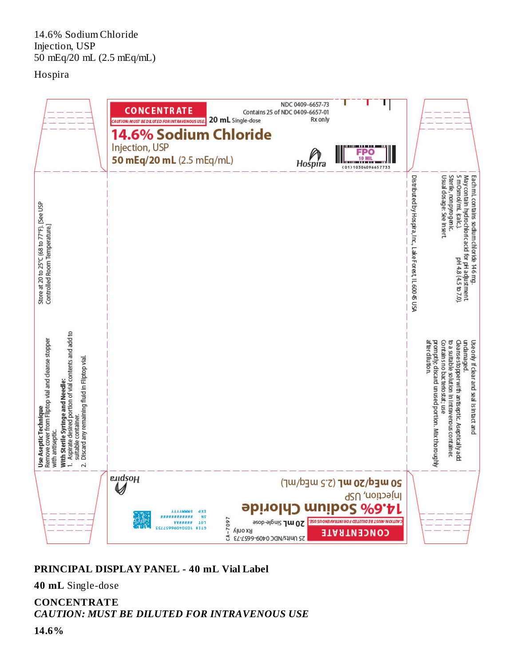14.6% Sodium Chloride Injection, USP 50 mEq/20 mL (2.5 mEq/mL)

#### Hospira



#### **PRINCIPAL DISPLAY PANEL - 40 mL Vial Label**

**40 mL** Single-dose

**CONCENTRATE** *CAUTION: MUST BE DILUTED FOR INTRAVENOUS USE*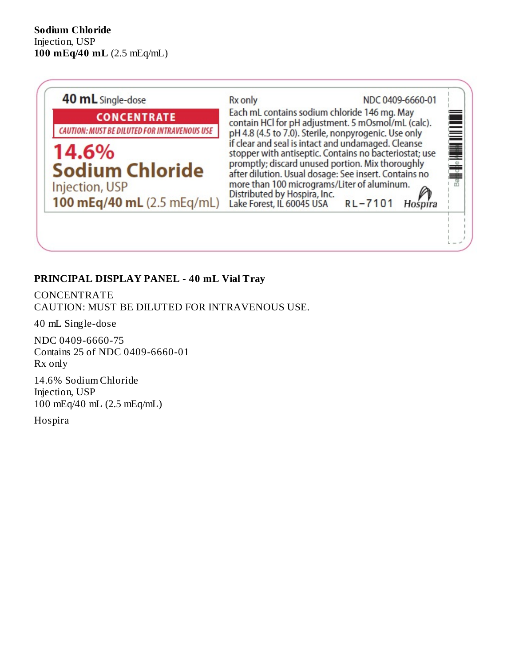

## **PRINCIPAL DISPLAY PANEL - 40 mL Vial Tray**

CONCENTRATE CAUTION: MUST BE DILUTED FOR INTRAVENOUS USE.

40 mL Single-dose

NDC 0409-6660-75 Contains 25 of NDC 0409-6660-01 Rx only

14.6% Sodium Chloride Injection, USP 100 mEq/40 mL (2.5 mEq/mL)

Hospira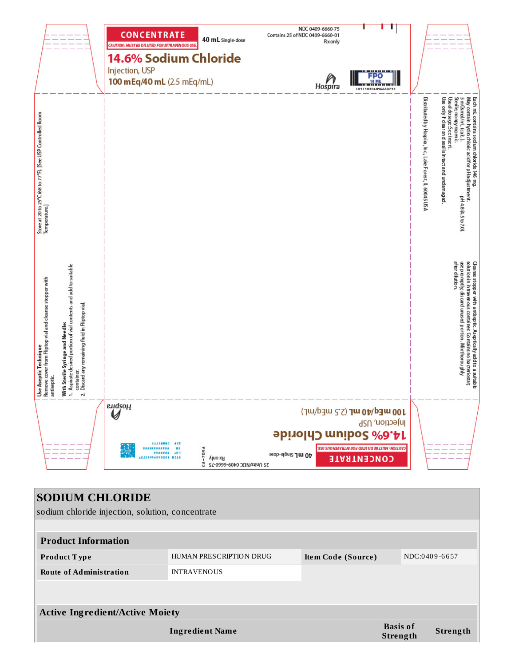|                                                                                                 |                                                                                                                                                                                             | <b>CONCENTRATE</b><br>CAUTION: MUST BE DILUTED FOR INTRAVENOUS USE.<br>Injection, USP<br>100 mEq/40 mL (2.5 mEq/mL) | 40 mL single-dose<br>14.6% Sodium Chloride            |                               | NDC 0409-6660-75<br>Contains 25 of NDC 0409-6660-01<br>Rxonly<br>Hospira | <u> 111 111 111 11</u><br><b>FPO</b><br>10 M<br>(01)10304096660757                                                                                          |                                                   |                                                                                                                                                                                                                                                         |
|-------------------------------------------------------------------------------------------------|---------------------------------------------------------------------------------------------------------------------------------------------------------------------------------------------|---------------------------------------------------------------------------------------------------------------------|-------------------------------------------------------|-------------------------------|--------------------------------------------------------------------------|-------------------------------------------------------------------------------------------------------------------------------------------------------------|---------------------------------------------------|---------------------------------------------------------------------------------------------------------------------------------------------------------------------------------------------------------------------------------------------------------|
| Store at 20 to 25°C (68 to 77°F). [See USP Controlled Room<br>Temperature.]                     |                                                                                                                                                                                             |                                                                                                                     |                                                       |                               |                                                                          |                                                                                                                                                             | Distributed by Hospia, hc, Lake Forest, L60045USA | 5 m 0s mol/mL (ca k.)<br>May contain hydio chloic acidfor p Hadjustment.<br>Each mL contains sodium chloride 146 mg.<br>Usu al do sa ge: See insert<br>Sterile, no npy rogen i:<br>Use only if clear and seal is intact and undamaged<br>pH48A.5to7.0). |
| Use Aseptic Technique<br>Remove cover from Fliptop vial and cleanse stopper with<br>antiseptic. | 1. Aspirate desired portion of vial contents and add to suitable<br>Discard any remaining fluid in Fliptop vial.<br><b>With Sterile Syringe and Needle:</b><br>container.<br>$\overline{a}$ |                                                                                                                     |                                                       |                               |                                                                          |                                                                                                                                                             |                                                   | solutionin in traven ous container. Contains no bacteriostat;<br>Cleanse stopper with antiseptic. Aseptically add to a suitable<br>after dilution.<br>use p to mptly, discard unused portion. Mixthorou ghly                                            |
|                                                                                                 |                                                                                                                                                                                             | endsoff<br><b>AAAAMMMO JXB</b>                                                                                      | $9602 - 1$<br>Klno xR<br>25 27-0999-0040 20M/zdinU 35 | ssop-abuis 7 m 0 <sup>t</sup> |                                                                          | (Jw/b3w c 2) Jw 0b/b3w 001<br>Injection, USP<br><b>abirold</b> muibos <i>%</i> 9.Ar<br>CAUTION: MUST BE DILUTED FOR IN TRAVENOUS USE.<br><b>CONCENTRATE</b> |                                                   |                                                                                                                                                                                                                                                         |
|                                                                                                 |                                                                                                                                                                                             | <b>SODIUM CHLORIDE</b><br>sodium chloride injection, solution, concentrate                                          |                                                       |                               |                                                                          |                                                                                                                                                             |                                                   |                                                                                                                                                                                                                                                         |
|                                                                                                 | <b>Product Information</b>                                                                                                                                                                  |                                                                                                                     |                                                       |                               |                                                                          |                                                                                                                                                             |                                                   |                                                                                                                                                                                                                                                         |
|                                                                                                 | Product Type                                                                                                                                                                                |                                                                                                                     | HUMAN PRESCRIPTION DRUG                               |                               | Item Code (Source)                                                       |                                                                                                                                                             | NDC:0409-6657                                     |                                                                                                                                                                                                                                                         |
|                                                                                                 | <b>Route of Administration</b>                                                                                                                                                              |                                                                                                                     | <b>INTRAVENOUS</b>                                    |                               |                                                                          |                                                                                                                                                             |                                                   |                                                                                                                                                                                                                                                         |
|                                                                                                 |                                                                                                                                                                                             |                                                                                                                     |                                                       |                               |                                                                          |                                                                                                                                                             |                                                   |                                                                                                                                                                                                                                                         |
|                                                                                                 |                                                                                                                                                                                             | <b>Active Ingredient/Active Moiety</b>                                                                              |                                                       |                               |                                                                          |                                                                                                                                                             |                                                   |                                                                                                                                                                                                                                                         |

**Ingredient Name Basis of Strength Strength**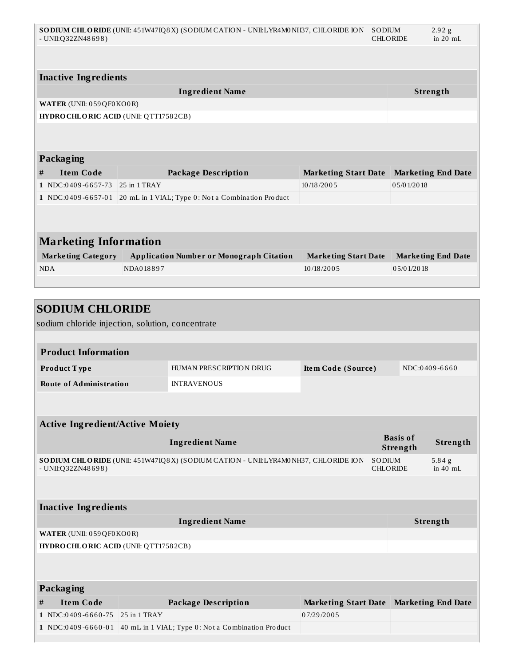|   | SO DIUM CHLORIDE (UNII: 451W47IQ8X) (SODIUM CATION - UNII:LYR4M0NH37, CHLORIDE ION<br>SODIUM<br>2.92 <sub>g</sub><br>$-$ UNII:Q32ZN48698)<br><b>CHLORIDE</b><br>in $20$ mL |                |                                                                       |                             |  |            |                           |
|---|----------------------------------------------------------------------------------------------------------------------------------------------------------------------------|----------------|-----------------------------------------------------------------------|-----------------------------|--|------------|---------------------------|
|   |                                                                                                                                                                            |                |                                                                       |                             |  |            |                           |
|   | <b>Inactive Ingredients</b>                                                                                                                                                |                |                                                                       |                             |  |            |                           |
|   |                                                                                                                                                                            |                | <b>Ingredient Name</b>                                                |                             |  |            | Strength                  |
|   | WATER (UNII: 059QF0KO0R)                                                                                                                                                   |                |                                                                       |                             |  |            |                           |
|   | HYDRO CHLORIC ACID (UNII: QTT17582CB)                                                                                                                                      |                |                                                                       |                             |  |            |                           |
|   |                                                                                                                                                                            |                |                                                                       |                             |  |            |                           |
|   |                                                                                                                                                                            |                |                                                                       |                             |  |            |                           |
|   | Packaging                                                                                                                                                                  |                |                                                                       |                             |  |            |                           |
| # | <b>Item Code</b>                                                                                                                                                           |                | <b>Package Description</b>                                            | <b>Marketing Start Date</b> |  |            | <b>Marketing End Date</b> |
|   | $1$ NDC:0409-6657-73                                                                                                                                                       | $25$ in 1 TRAY |                                                                       | 10/18/2005                  |  | 05/01/2018 |                           |
|   |                                                                                                                                                                            |                | 1 NDC:0409-6657-01 20 mL in 1 VIAL; Type 0: Not a Combination Product |                             |  |            |                           |
|   |                                                                                                                                                                            |                |                                                                       |                             |  |            |                           |
|   |                                                                                                                                                                            |                |                                                                       |                             |  |            |                           |
|   | <b>Marketing Information</b>                                                                                                                                               |                |                                                                       |                             |  |            |                           |
|   | <b>Marketing Category</b>                                                                                                                                                  |                | <b>Application Number or Monograph Citation</b>                       | <b>Marketing Start Date</b> |  |            | <b>Marketing End Date</b> |
|   | <b>NDA</b>                                                                                                                                                                 | NDA018897      |                                                                       | 10/18/2005                  |  | 05/01/2018 |                           |
|   |                                                                                                                                                                            |                |                                                                       |                             |  |            |                           |
|   |                                                                                                                                                                            |                |                                                                       |                             |  |            |                           |
|   | <b>SODIUM CHLORIDE</b>                                                                                                                                                     |                |                                                                       |                             |  |            |                           |
|   | sodium chloride injection, solution, concentrate                                                                                                                           |                |                                                                       |                             |  |            |                           |
|   |                                                                                                                                                                            |                |                                                                       |                             |  |            |                           |
|   | <b>Product Information</b>                                                                                                                                                 |                |                                                                       |                             |  |            |                           |
|   | Product Type                                                                                                                                                               |                | HUMAN PRESCRIPTION DRUG                                               | Item Code (Source)          |  |            | NDC:0409-6660             |

|   | <b>Active Ingredient/Active Moiety</b>       |                                                                                    |                             |                                  |                             |                           |  |
|---|----------------------------------------------|------------------------------------------------------------------------------------|-----------------------------|----------------------------------|-----------------------------|---------------------------|--|
|   |                                              | <b>Ingredient Name</b>                                                             |                             |                                  | <b>Basis of</b><br>Strength | Strength                  |  |
|   | - UNII:Q32ZN48698)                           | SO DIUM CHLORIDE (UNII: 451W47IQ8X) (SODIUM CATION - UNII:LYR4M0NH37, CHLORIDE ION |                             | <b>SODIUM</b><br><b>CHLORIDE</b> |                             | $5.84$ g<br>in $40$ mL    |  |
|   |                                              |                                                                                    |                             |                                  |                             |                           |  |
|   | <b>Inactive Ingredients</b>                  |                                                                                    |                             |                                  |                             |                           |  |
|   |                                              | <b>Ingredient Name</b>                                                             |                             |                                  |                             | <b>Strength</b>           |  |
|   | WATER (UNII: 059 QF0 KO0 R)                  |                                                                                    |                             |                                  |                             |                           |  |
|   | <b>HYDRO CHLORIC ACID (UNII: QTT17582CB)</b> |                                                                                    |                             |                                  |                             |                           |  |
|   |                                              |                                                                                    |                             |                                  |                             |                           |  |
|   |                                              |                                                                                    |                             |                                  |                             |                           |  |
|   | Packaging                                    |                                                                                    |                             |                                  |                             |                           |  |
| # | <b>Item Code</b>                             | <b>Package Description</b>                                                         | <b>Marketing Start Date</b> |                                  |                             | <b>Marketing End Date</b> |  |
|   | $1$ NDC:0409-6660-75                         | $25$ in 1 TRAY                                                                     | 07/29/2005                  |                                  |                             |                           |  |

**Route of Administration** INTRAVENOUS